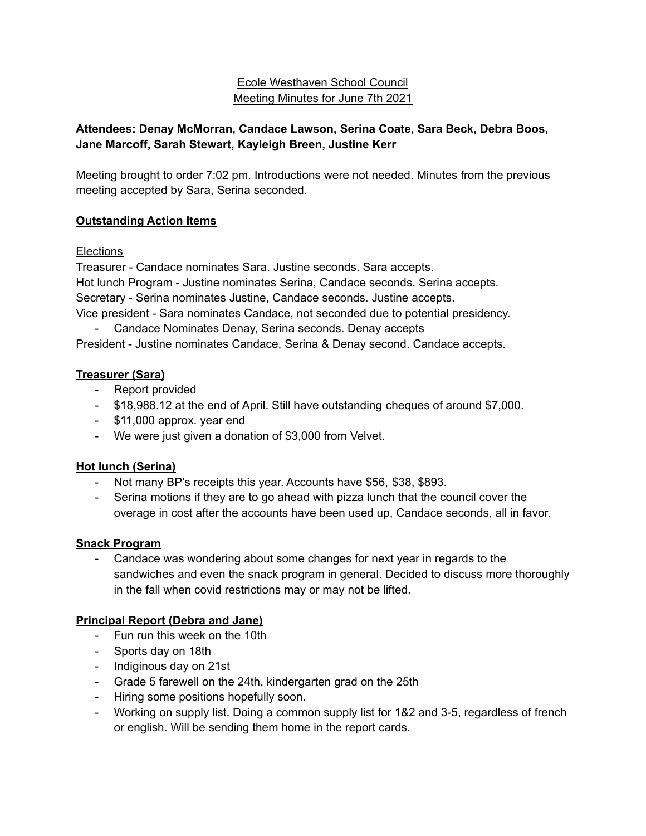## Ecole Westhaven School Council Meeting Minutes for June 7th 2021

# **Attendees: Denay McMorran, Candace Lawson, Serina Coate, Sara Beck, Debra Boos, Jane Marcoff, Sarah Stewart, Kayleigh Breen, Justine Kerr**

Meeting brought to order 7:02 pm. Introductions were not needed. Minutes from the previous meeting accepted by Sara, Serina seconded.

### **Outstanding Action Items**

### Elections

Treasurer - Candace nominates Sara. Justine seconds. Sara accepts. Hot lunch Program - Justine nominates Serina, Candace seconds. Serina accepts. Secretary - Serina nominates Justine, Candace seconds. Justine accepts. Vice president - Sara nominates Candace, not seconded due to potential presidency.

Candace Nominates Denay, Serina seconds. Denay accepts President - Justine nominates Candace, Serina & Denay second. Candace accepts.

### **Treasurer (Sara)**

- Report provided
- \$18,988.12 at the end of April. Still have outstanding cheques of around \$7,000.
- \$11,000 approx. year end
- We were just given a donation of \$3,000 from Velvet.

# **Hot lunch (Serina)**

- Not many BP's receipts this year. Accounts have \$56, \$38, \$893.
- Serina motions if they are to go ahead with pizza lunch that the council cover the overage in cost after the accounts have been used up, Candace seconds, all in favor.

### **Snack Program**

- Candace was wondering about some changes for next year in regards to the sandwiches and even the snack program in general. Decided to discuss more thoroughly in the fall when covid restrictions may or may not be lifted.

# **Principal Report (Debra and Jane)**

- Fun run this week on the 10th
- Sports day on 18th
- Indiginous day on 21st
- Grade 5 farewell on the 24th, kindergarten grad on the 25th
- Hiring some positions hopefully soon.
- Working on supply list. Doing a common supply list for 1&2 and 3-5, regardless of french or english. Will be sending them home in the report cards.